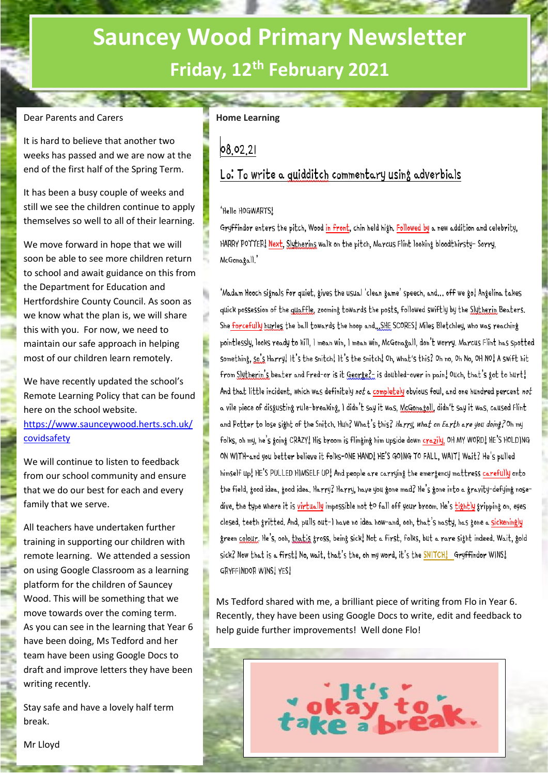# **Sauncey Wood Primary Newsletter Friday, 12th February 2021**

### Dear Parents and Carers

It is hard to believe that another two weeks has passed and we are now at the end of the first half of the Spring Term.

It has been a busy couple of weeks and still we see the children continue to apply themselves so well to all of their learning.

We move forward in hope that we will soon be able to see more children return to school and await guidance on this from the Department for Education and Hertfordshire County Council. As soon as we know what the plan is, we will share this with you. For now, we need to maintain our safe approach in helping most of our children learn remotely.

We have recently updated the school's Remote Learning Policy that can be found here on the school website. [https://www.saunceywood.herts.sch.uk/](https://www.saunceywood.herts.sch.uk/covidsafety)

[covidsafety](https://www.saunceywood.herts.sch.uk/covidsafety) 

We will continue to listen to feedback from our school community and ensure that we do our best for each and every family that we serve.

All teachers have undertaken further training in supporting our children with remote learning. We attended a session on using Google Classroom as a learning platform for the children of Sauncey Wood. This will be something that we move towards over the coming term. As you can see in the learning that Year 6 have been doing, Ms Tedford and her team have been using Google Docs to draft and improve letters they have been writing recently.

Stay safe and have a lovely half term break.

## **Home Learning**

# 08.02.21

# Lo: To write a quidditch commentary using adverbials

#### 'Hello HOGWARTS!

Gryffindor enters the pitch, Wood in front, chin held high. Followed by a new addition and celebrity, HARRY POTTER! Next, Slythering walk on the pitch, Marcus Flint looking bloodthirsty- Sorry, McGonagall.'

'Madam Hooch signals for quiet, gives the usual 'clean game' speech, and... off we go! Angelina takes quick possession of the quaffle, zooming towards the posts, followed swiftly by the Slytherin Beaters. She forcefully hurles the ball towards the hoop and... SHE SCORES! Miles Bletchley, who was reaching pointlessly, looks ready to kill, I mean win, I mean win, McGonagall, don't worry, Marcus Flint has spotted something, so's Harry! It's the snitch! It's the snitch! Oh, what's this? Oh no, Oh No, OH NO! A swift hit from Slytherin's beater and Fred-or is it George? is doubled-over in pain! Ouch, that's got to hurt! And that little incident, which was definitely not a completely obvious foul, and one hundred percent not a vile piece of disgusting rule-breaking, I didn't say it was, McGonagoll, didn't say it was, caused Flint and Potter to lose sight of the Snitch. Huh? What's this? Harry, what on Earth are you doing? Oh my folks, oh my, he's going CRAZY! His broom is flinging him upside down crazily, OH MY WORD! HE'S HOLDING ON WITH-and you better believe it folks-ONE HAND! HE'S GOING TO FALL, WAIT! Wait? He's pulled himself up! HE'S PULLED HIMSELF UP! And people are carrying the emergency mattress carefully onto the field, good idea, good idea. Harry? Harry, have you gone mad? He's gone into a gravity-defying nosedive, the type where it is virtually impossible not to fall off your broom. He's tightly gripping on, eyes closed, teeth gritted. And, pulls out-I have no idea how-and, ooh, that's nasty, has gone a sickeningly green colour. He's, ooh, that's gross, being sick, Not a first, folks, but a rare sight indeed. Wait, gold sick? Now that is a first! No, wait, that's the, oh my word, it's the SNITCH! Gryffindor WINS! GRYFFINDOR WINS! YES!

Ms Tedford shared with me, a brilliant piece of writing from Flo in Year 6. Recently, they have been using Google Docs to write, edit and feedback to help guide further improvements! Well done Flo!

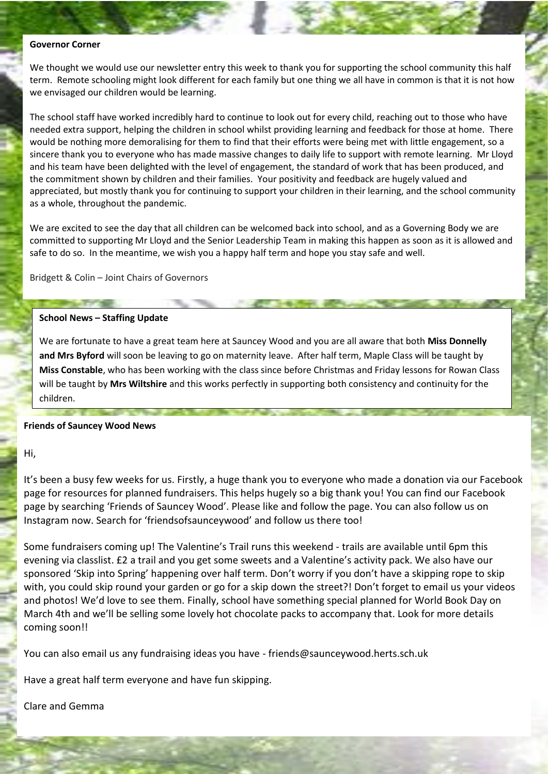#### **Governor Corner**

We thought we would use our newsletter entry this week to thank you for supporting the school community this half term. Remote schooling might look different for each family but one thing we all have in common is that it is not how we envisaged our children would be learning.

The school staff have worked incredibly hard to continue to look out for every child, reaching out to those who have needed extra support, helping the children in school whilst providing learning and feedback for those at home. There would be nothing more demoralising for them to find that their efforts were being met with little engagement, so a sincere thank you to everyone who has made massive changes to daily life to support with remote learning. Mr Lloyd and his team have been delighted with the level of engagement, the standard of work that has been produced, and the commitment shown by children and their families. Your positivity and feedback are hugely valued and appreciated, but mostly thank you for continuing to support your children in their learning, and the school community as a whole, throughout the pandemic.

We are excited to see the day that all children can be welcomed back into school, and as a Governing Body we are committed to supporting Mr Lloyd and the Senior Leadership Team in making this happen as soon as it is allowed and safe to do so. In the meantime, we wish you a happy half term and hope you stay safe and well.

Bridgett & Colin – Joint Chairs of Governors

#### **School News – Staffing Update**

We are fortunate to have a great team here at Sauncey Wood and you are all aware that both **Miss Donnelly and Mrs Byford** will soon be leaving to go on maternity leave. After half term, Maple Class will be taught by **Miss Constable**, who has been working with the class since before Christmas and Friday lessons for Rowan Class will be taught by **Mrs Wiltshire** and this works perfectly in supporting both consistency and continuity for the children.

#### **Friends of Sauncey Wood News**

Hi,

It's been a busy few weeks for us. Firstly, a huge thank you to everyone who made a donation via our Facebook page for resources for planned fundraisers. This helps hugely so a big thank you! You can find our Facebook page by searching 'Friends of Sauncey Wood'. Please like and follow the page. You can also follow us on Instagram now. Search for 'friendsofsaunceywood' and follow us there too!

Some fundraisers coming up! The Valentine's Trail runs this weekend - trails are available until 6pm this evening via classlist. £2 a trail and you get some sweets and a Valentine's activity pack. We also have our sponsored 'Skip into Spring' happening over half term. Don't worry if you don't have a skipping rope to skip with, you could skip round your garden or go for a skip down the street?! Don't forget to email us your videos and photos! We'd love to see them. Finally, school have something special planned for World Book Day on March 4th and we'll be selling some lovely hot chocolate packs to accompany that. Look for more details coming soon!!

You can also email us any fundraising ideas you have - friends@saunceywood.herts.sch.uk

Have a great half term everyone and have fun skipping.

Clare and Gemma